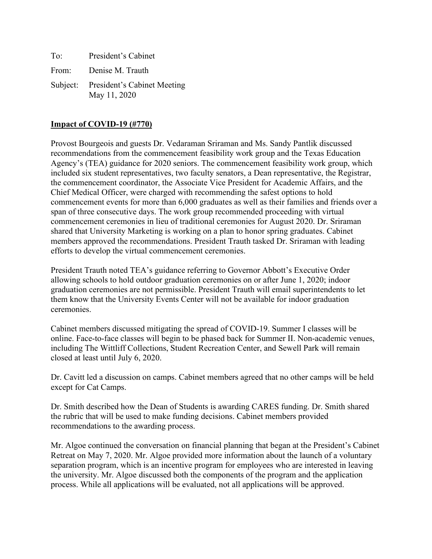To: President's Cabinet From: Denise M. Trauth Subject: President's Cabinet Meeting May 11, 2020

## **Impact of COVID-19 (#770)**

Provost Bourgeois and guests Dr. Vedaraman Sriraman and Ms. Sandy Pantlik discussed recommendations from the commencement feasibility work group and the Texas Education Agency's (TEA) guidance for 2020 seniors. The commencement feasibility work group, which included six student representatives, two faculty senators, a Dean representative, the Registrar, the commencement coordinator, the Associate Vice President for Academic Affairs, and the Chief Medical Officer, were charged with recommending the safest options to hold commencement events for more than 6,000 graduates as well as their families and friends over a span of three consecutive days. The work group recommended proceeding with virtual commencement ceremonies in lieu of traditional ceremonies for August 2020. Dr. Sriraman shared that University Marketing is working on a plan to honor spring graduates. Cabinet members approved the recommendations. President Trauth tasked Dr. Sriraman with leading efforts to develop the virtual commencement ceremonies.

President Trauth noted TEA's guidance referring to Governor Abbott's Executive Order allowing schools to hold outdoor graduation ceremonies on or after June 1, 2020; indoor graduation ceremonies are not permissible. President Trauth will email superintendents to let them know that the University Events Center will not be available for indoor graduation ceremonies.

Cabinet members discussed mitigating the spread of COVID-19. Summer I classes will be online. Face-to-face classes will begin to be phased back for Summer II. Non-academic venues, including The Wittliff Collections, Student Recreation Center, and Sewell Park will remain closed at least until July 6, 2020.

Dr. Cavitt led a discussion on camps. Cabinet members agreed that no other camps will be held except for Cat Camps.

Dr. Smith described how the Dean of Students is awarding CARES funding. Dr. Smith shared the rubric that will be used to make funding decisions. Cabinet members provided recommendations to the awarding process.

Mr. Algoe continued the conversation on financial planning that began at the President's Cabinet Retreat on May 7, 2020. Mr. Algoe provided more information about the launch of a voluntary separation program, which is an incentive program for employees who are interested in leaving the university. Mr. Algoe discussed both the components of the program and the application process. While all applications will be evaluated, not all applications will be approved.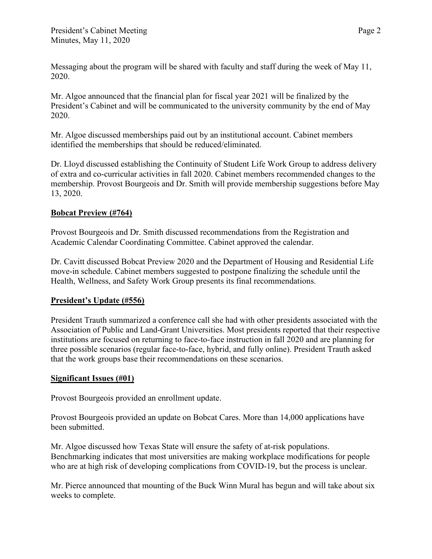Messaging about the program will be shared with faculty and staff during the week of May 11, 2020.

Mr. Algoe announced that the financial plan for fiscal year 2021 will be finalized by the President's Cabinet and will be communicated to the university community by the end of May 2020.

Mr. Algoe discussed memberships paid out by an institutional account. Cabinet members identified the memberships that should be reduced/eliminated.

Dr. Lloyd discussed establishing the Continuity of Student Life Work Group to address delivery of extra and co-curricular activities in fall 2020. Cabinet members recommended changes to the membership. Provost Bourgeois and Dr. Smith will provide membership suggestions before May 13, 2020.

## **Bobcat Preview (#764)**

Provost Bourgeois and Dr. Smith discussed recommendations from the Registration and Academic Calendar Coordinating Committee. Cabinet approved the calendar.

Dr. Cavitt discussed Bobcat Preview 2020 and the Department of Housing and Residential Life move-in schedule. Cabinet members suggested to postpone finalizing the schedule until the Health, Wellness, and Safety Work Group presents its final recommendations.

## **President's Update (#556)**

President Trauth summarized a conference call she had with other presidents associated with the Association of Public and Land-Grant Universities. Most presidents reported that their respective institutions are focused on returning to face-to-face instruction in fall 2020 and are planning for three possible scenarios (regular face-to-face, hybrid, and fully online). President Trauth asked that the work groups base their recommendations on these scenarios.

## **Significant Issues (#01)**

Provost Bourgeois provided an enrollment update.

Provost Bourgeois provided an update on Bobcat Cares. More than 14,000 applications have been submitted.

Mr. Algoe discussed how Texas State will ensure the safety of at-risk populations. Benchmarking indicates that most universities are making workplace modifications for people who are at high risk of developing complications from COVID-19, but the process is unclear.

Mr. Pierce announced that mounting of the Buck Winn Mural has begun and will take about six weeks to complete.